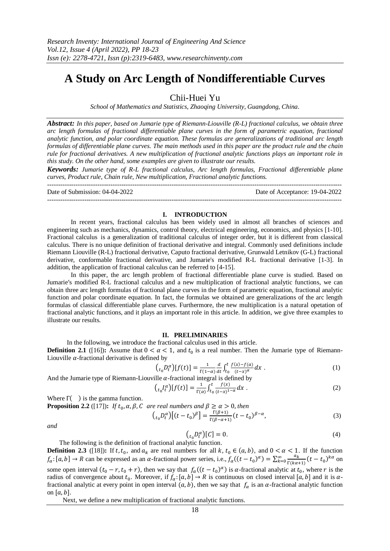# **A Study on Arc Length of Nondifferentiable Curves**

Chii-Huei Yu

*School of Mathematics and Statistics, Zhaoqing University, Guangdong, China.*

*Abstract: In this paper, based on Jumarie type of Riemann-Liouville (R-L) fractional calculus, we obtain three arc length formulas of fractional differentiable plane curves in the form of parametric equation, fractional analytic function, and polar coordinate equation. These formulas are generalizations of traditional arc length formulas of differentiable plane curves. The main methods used in this paper are the product rule and the chain rule for fractional derivatives. A new multiplication of fractional analytic functions plays an important role in this study. On the other hand, some examples are given to illustrate our results.*

*Keywords: Jumarie type of R-L fractional calculus, Arc length formulas, Fractional differentiable plane curves, Product rule, Chain rule, New multiplication, Fractional analytic functions.*

--------------------------------------------------------------------------------------------------------------------------------------- Date of Submission: 04-04-2022 Date of Acceptance: 19-04-2022 ---------------------------------------------------------------------------------------------------------------------------------------

#### **I. INTRODUCTION**

In recent years, fractional calculus has been widely used in almost all branches of sciences and engineering such as mechanics, dynamics, control theory, electrical engineering, economics, and physics [1-10]. Fractional calculus is a generalization of traditional calculus of integer order, but it is different from classical calculus. There is no unique definition of fractional derivative and integral. Commonly used definitions include Riemann Liouville (R-L) fractional derivative, Caputo fractional derivative, Grunwald Letnikov (G-L) fractional derivative, conformable fractional derivative, and Jumarie's modified R-L fractional derivative [1-3]. In addition, the application of fractional calculus can be referred to [4-15].

In this paper, the arc length problem of fractional differentiable plane curve is studied. Based on Jumarie′s modified R-L fractional calculus and a new multiplication of fractional analytic functions, we can obtain three arc length formulas of fractional plane curves in the form of parametric equation, fractional analytic function and polar coordinate equation. In fact, the formulas we obtained are generalizations of the arc length formulas of classical differentiable plane curves. Furthermore, the new multiplication is a natural opetation of fractional analytic functions, and it plays an important role in this article. In addition, we give three examples to illustrate our results.

#### **II. PRELIMINARIES**

In the following, we introduce the fractional calculus used in this article.

**Definition 2.1** ([16]): Assume that  $0 < \alpha < 1$ , and  $t_0$  is a real number. Then the Jumarie type of Riemann-Liouville  $\alpha$ -fractional derivative is defined by

$$
\left(\begin{array}{c}\n\tau_0 D_t^{\alpha}\n\end{array}\right)\n\left[f(t)\right] = \frac{1}{\Gamma(1-\alpha)} \frac{d}{dt} \int_{t_0}^t \frac{f(x) - f(a)}{(t - x)^{\alpha}} dx \tag{1}
$$

And the Jumarie type of Riemann-Liouville  $\alpha$ -fractional integral is defined by

$$
\left(\begin{array}{c}L_0 I_t^{\alpha}\end{array}\right)[f(t)] = \frac{1}{\Gamma(\alpha)} \int_{t_0}^t \frac{f(x)}{(t-x)^{1-\alpha}} dx \ . \tag{2}
$$

Where  $\Gamma$ ( ) is the gamma function.

**Proposition 2.2** ([17]): *If*  $t_0$ ,  $\alpha$ ,  $\beta$ ,  $C$  are real numbers and  $\beta \ge \alpha > 0$ , then

$$
\left(t_0 D_t^{\alpha}\right) \left[ (t - t_0)^{\beta} \right] = \frac{\Gamma(\beta + 1)}{\Gamma(\beta - \alpha + 1)} (t - t_0)^{\beta - \alpha},\tag{3}
$$

*and*

$$
\left(\begin{array}{c} \n\epsilon_0 D_t^{\alpha} \n\end{array}\right) [C] = 0. \n\tag{4}
$$

The following is the definition of fractional analytic function.

**Definition 2.3** ([18]): If t,  $t_0$ , and  $a_k$  are real numbers for all  $k$ ,  $t_0 \in (a, b)$ , and  $0 < \alpha < 1$ . If the function  $f_{\alpha}$ : [a, b]  $\rightarrow$  R can be expressed as an  $\alpha$ -fractional power series, i.e.,  $f_{\alpha}((t-t_0)^{\alpha}) = \sum_{k=0}^{\infty} \frac{a_k}{\Gamma(k\alpha)}$  $\sum_{k=0}^{\infty} \frac{a_k}{\Gamma(k\alpha+1)} (t-t_0)^{k\alpha}$  on some open interval  $(t_0 - r, t_0 + r)$ , then we say that  $f_\alpha((t - t_0)^\alpha)$  is  $\alpha$ -fractional analytic at  $t_0$ , where r is the radius of convergence about  $t_0$ . Moreover, if  $f_\alpha$ : [a, b]  $\rightarrow$  R is continuous on closed interval [a, b] and it is  $\alpha$ fractional analytic at every point in open interval  $(a, b)$ , then we say that  $f_a$  is an  $\alpha$ -fractional analytic function on  $[a, b]$ .

Next, we define a new multiplication of fractional analytic functions.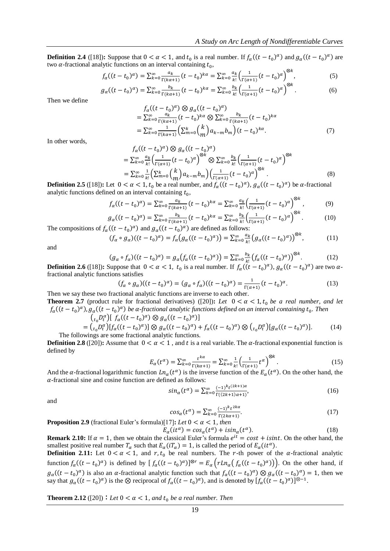**Definition 2.4** ([18]): Suppose that  $0 < \alpha < 1$ , and  $t_0$  is a real number. If  $f_\alpha((t-t_0)^\alpha)$  and  $g_\alpha((t-t_0)^\alpha)$  are two  $\alpha$ -fractional analytic functions on an interval containing  $t_0$ ,

$$
f_{\alpha}((t-t_0)^{\alpha}) = \sum_{k=0}^{\infty} \frac{a_k}{\Gamma(k\alpha+1)} (t-t_0)^{k\alpha} = \sum_{k=0}^{\infty} \frac{a_k}{k!} \left(\frac{1}{\Gamma(\alpha+1)} (t-t_0)^{\alpha}\right)^{\otimes k},
$$
(5)

$$
g_{\alpha}((t-t_0)^{\alpha}) = \sum_{k=0}^{\infty} \frac{b_k}{\Gamma(k\alpha+1)} (t-t_0)^{k\alpha} = \sum_{k=0}^{\infty} \frac{b_k}{k!} \left(\frac{1}{\Gamma(\alpha+1)} (t-t_0)^{\alpha}\right)^{\otimes k}.
$$
 (6)

Then we define

$$
f_{\alpha}((t - t_0)^{\alpha}) \otimes g_{\alpha}((t - t_0)^{\alpha})
$$
  
=  $\sum_{k=0}^{\infty} \frac{a_k}{\Gamma(k\alpha + 1)} (t - t_0)^{k\alpha} \otimes \sum_{k=0}^{\infty} \frac{b_k}{\Gamma(k\alpha + 1)} (t - t_0)^{k\alpha}$   
=  $\sum_{k=0}^{\infty} \frac{1}{\Gamma(k\alpha + 1)} (\sum_{m=0}^{k} {k \choose m} a_{k-m} b_m) (t - t_0)^{k\alpha}.$  (7)

In other words,

$$
f_{\alpha}((t - t_0)^{\alpha}) \otimes g_{\alpha}((t - t_0)^{\alpha})
$$
  
=  $\sum_{k=0}^{\infty} \frac{a_k}{k!} \left( \frac{1}{\Gamma(\alpha+1)} (t - t_0)^{\alpha} \right)^{\otimes k} \otimes \sum_{k=0}^{\infty} \frac{b_k}{k!} \left( \frac{1}{\Gamma(\alpha+1)} (t - t_0)^{\alpha} \right)^{\otimes k}$   
=  $\sum_{k=0}^{\infty} \frac{1}{k!} \left( \sum_{m=0}^{k} {k \choose m} a_{k-m} b_m \right) \left( \frac{1}{\Gamma(\alpha+1)} (t - t_0)^{\alpha} \right)^{\otimes k}$ . (8)

**Definition 2.5** ([18]): Let  $0 < \alpha < 1$ ,  $t_0$  be a real number, and  $f_\alpha((t-t_0)^\alpha)$ ,  $g_\alpha((t-t_0)^\alpha)$  be  $\alpha$ -fractional analytic functions defined on an interval containing  $t_0$ ,

$$
f_{\alpha}((t-t_0)^{\alpha}) = \sum_{k=0}^{\infty} \frac{a_k}{\Gamma(k\alpha+1)} (t-t_0)^{k\alpha} = \sum_{k=0}^{\infty} \frac{a_k}{k!} \left( \frac{1}{\Gamma(\alpha+1)} (t-t_0)^{\alpha} \right)^{\otimes k},\tag{9}
$$

$$
g_{\alpha}((t-t_0)^{\alpha}) = \sum_{k=0}^{\infty} \frac{b_k}{\Gamma(k\alpha+1)} (t-t_0)^{k\alpha} = \sum_{k=0}^{\infty} \frac{b_k}{k!} \left(\frac{1}{\Gamma(\alpha+1)} (t-t_0)^{\alpha}\right)^{\omega\alpha}.
$$
 (10)  

$$
f_{\alpha}((t-t_0)^{\alpha})
$$
 and  $g_{\alpha}((t-t_0)^{\alpha})$  are defined as follows:

The compositions of 
$$
f_{\alpha}((t - t_0)^{\alpha})
$$
 and  $g_{\alpha}((t - t_0)^{\alpha})$  are defined as follows:

$$
(f_{\alpha} \circ g_{\alpha})((t-t_0)^{\alpha}) = f_{\alpha}\big(g_{\alpha}((t-t_0)^{\alpha})\big) = \sum_{k=0}^{\infty} \frac{a_k}{k!} \big(g_{\alpha}((t-t_0)^{\alpha})\big)^{\otimes k},\tag{11}
$$

and

$$
(g_{\alpha} \circ f_{\alpha})((t-t_0)^{\alpha}) = g_{\alpha}(f_{\alpha}((t-t_0)^{\alpha})) = \sum_{k=0}^{\infty} \frac{b_k}{k!} (f_{\alpha}((t-t_0)^{\alpha}))^{\otimes k}.
$$
 (12)

**Definition 2.6** ([18]): Suppose that  $0 < \alpha < 1$ ,  $t_0$  is a real number. If  $f_\alpha((t-t_0)^\alpha)$ ,  $g_\alpha((t-t_0)^\alpha)$  are two  $\alpha$ fractional analytic functions satisfies

$$
(f_{\alpha} \circ g_{\alpha})((t - t_0)^{\alpha}) = (g_{\alpha} \circ f_{\alpha})((t - t_0)^{\alpha}) = \frac{1}{\Gamma(\alpha + 1)}(t - t_0)^{\alpha}.
$$
 (13)

Then we say these two fractional analytic functions are inverse to each other.

**Theorem 2.7** (product rule for fractional derivatives) ([20]): Let  $0 < \alpha < 1$ , t<sub>0</sub> be a real number, and let  $f_\alpha((t-t_0)^\alpha)$ ,  $g_\alpha((t-t_0)^\alpha)$  be  $\alpha$ -fractional analytic functions defined on an interval containing  $t_0$ . Then

$$
\begin{aligned} &\left(t_0 D_t^{\alpha}\right) \left[f_{\alpha}((t-t_0)^{\alpha}) \otimes g_{\alpha}((t-t_0)^{\alpha})\right] \\ &= \left(t_0 D_t^{\alpha}\right) \left[f_{\alpha}((t-t_0)^{\alpha})\right] \otimes g_{\alpha}((t-t_0)^{\alpha}) + f_{\alpha}((t-t_0)^{\alpha}) \otimes \left(t_0 D_t^{\alpha}\right) \left[g_{\alpha}((t-t_0)^{\alpha})\right]. \end{aligned} \tag{14}
$$

The followings are some fractional analytic functions.

**Definition 2.8** ([20]): Assume that  $0 < \alpha < 1$ , and t is a real variable. The  $\alpha$ -fractional exponential function is defined by

$$
E_{\alpha}(t^{\alpha}) = \sum_{k=0}^{\infty} \frac{t^{k\alpha}}{\Gamma(k\alpha+1)} = \sum_{k=0}^{\infty} \frac{1}{k!} \left(\frac{1}{\Gamma(\alpha+1)} t^{\alpha}\right)^{\otimes k}.
$$
 (15)

And the  $\alpha$ -fractional logarithmic function  $Ln_{\alpha}(t^{\alpha})$  is the inverse function of the  $E_{\alpha}(t^{\alpha})$ . On the other hand, the  $\alpha$ -fractional sine and cosine function are defined as follows:

$$
\sin_{\alpha}(t^{\alpha}) = \sum_{k=0}^{\infty} \frac{(-1)^k t^{(2k+1)\alpha}}{\Gamma((2k+1)\alpha+1)},\tag{16}
$$

and

$$
cos_{\alpha}(t^{\alpha}) = \sum_{k=0}^{\infty} \frac{(-1)^{k} t^{2ka}}{\Gamma(2ka+1)}.
$$
 (17)

**Proposition 2.9** (fractional Euler's formula)[17]: Let  $0 < \alpha < 1$ , then  $E_{\alpha}(it^{\alpha}) = cos_{\alpha}(t^{\alpha}) + isin_{\alpha}(t^{\alpha})$  $\alpha$ ). (18)

**Remark 2.10:** If  $\alpha = 1$ , then we obtain the classical Euler's formula  $e^{it} = cost + isint$ . On the other hand, the smallest positive real number  $T_\alpha$  such that  $E_\alpha(iT_\alpha) = 1$ , is called the period of  $E_\alpha(it^\alpha)$ .

**Definition 2.11:** Let  $0 < \alpha < 1$ , and r,  $t_0$  be real numbers. The r-th power of the  $\alpha$ -fractional analytic function  $f_{\alpha}((t-t_0)^{\alpha})$  is defined by  $[f_{\alpha}((t-t_0)^{\alpha})]^{\otimes r} = E_{\alpha}(rLn_{\alpha}(f_{\alpha}((t-t_0)^{\alpha}))$ . On the other hand, if  $g_{\alpha}((t-t_0)^{\alpha})$  is also an  $\alpha$ -fractional analytic function such that  $f_{\alpha}((t-t_0)^{\alpha}) \otimes g_{\alpha}((t-t_0)^{\alpha}) = 1$ , then we say that  $g_{\alpha}((t-t_0)^{\alpha})$  is the ⊗ reciprocal of  $f_{\alpha}((t-t_0)^{\alpha})$ , and is denoted by  $[f_{\alpha}((t-t_0)^{\alpha})]^{\otimes -1}$ .

**Theorem 2.12** ([20])  $\colon$  *Let*  $0 < \alpha < 1$ *, and*  $t_0$  *be a real number. Then*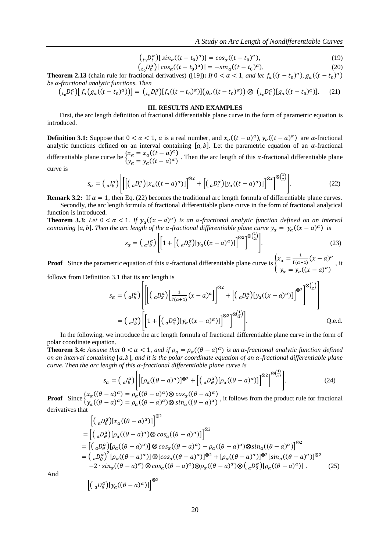$$
\left(t_0 D_t^{\alpha}\right) \left[sin_{\alpha}\left((t-t_0)^{\alpha}\right)\right] = \cos_{\alpha}\left((t-t_0)^{\alpha}\right),\tag{19}
$$

$$
\left(\begin{array}{c}\n\tau_0 D_t^{\alpha}\n\end{array}\right)\n\left[\cos(\omega(t - t_0)^{\alpha})\right] = -\sin(\omega(t - t_0)^{\alpha}),\n\tag{20}
$$

**Theorem 2.13** (chain rule for fractional derivatives) ([19]): If  $0 < \alpha < 1$ , and let  $f_\alpha((t-t_0)^\alpha)$ ,  $g_\alpha((t-t_0)^\alpha)$ *be* α-fractional analytic functions. Then

$$
\left(\begin{array}{c}1\\t_0\end{array}\right)\left[f_\alpha\left(g_\alpha((t-t_0)^\alpha)\right)\right] = \left(\begin{array}{c}1\\t_0\end{array}\right)\left[f_\alpha((t-t_0)^\alpha)\right]\left(g_\alpha((t-t_0)^\alpha)\right) \otimes \left(\begin{array}{c}1\\t_0\end{array}\right)\left[g_\alpha((t-t_0)^\alpha)\right].\tag{21}
$$

### **III. RESULTS AND EXAMPLES**

 First, the arc length definition of fractional differentiable plane curve in the form of parametric equation is introduced.

**Definition 3.1:** Suppose that  $0 < \alpha < 1$ ,  $\alpha$  is a real number, and  $x_{\alpha}((t - \alpha)^{\alpha})$ ,  $y_{\alpha}((t - \alpha)^{\alpha})$  are  $\alpha$ -fractional analytic functions defined on an interval containing  $[a, b]$ . Let the parametric equation of an  $\alpha$ -fractional differentiable plane curve be  $\begin{cases} x_{\alpha} = x_{\alpha}((t-a)^{\alpha}) \\ x_{\alpha} = x_{\alpha}((t-a)^{\alpha}) \end{cases}$  $y_{\alpha} = y_{\alpha}((t - a)^{\alpha})$ . Then the arc length of this  $\alpha$ -fractional differentiable plane curve is

$$
s_{\alpha} = \left(a_{\alpha} I_{b}^{\alpha}\right) \left[ \left[ \left[ \left( a_{\alpha} I_{c}^{\alpha} \right) \left[ x_{\alpha} \left( (t-a)^{\alpha} \right) \right] \right]^{\otimes 2} + \left[ \left( a_{\alpha} I_{c}^{\alpha} \right) \left[ y_{\alpha} \left( (t-a)^{\alpha} \right) \right] \right]^{\otimes 2} \right]^{\otimes \left( \frac{1}{2} \right)} \right].
$$
 (22)

**Remark 3.2:** If  $\alpha = 1$ , then Eq. (22) becomes the traditional arc length formula of differentiable plane curves.

 Secondly, the arc length formula of fractional differentiable plane curve in the form of fractional analytical function is introduced.

**Theorem 3.3:** Let  $0 < \alpha < 1$ . If  $y_\alpha((x - \alpha)^\alpha)$  is an  $\alpha$ -fractional analytic function defined on an interval *containing* [a, b]. *Then the arc length of the*  $\alpha$ -fractional differentiable plane curve  $y_\alpha = y_\alpha((x - a)^\alpha)$  is

$$
s_{\alpha} = \left(\ _{a}I_{b}^{\alpha}\right) \left[\left[1 + \left[\left(\ _{a}D_{x}^{\alpha}\right)\left[y_{\alpha}\left((x-a)^{\alpha}\right)\right]\right]^{\otimes 2}\right]^{\otimes \left(\frac{1}{2}\right)}\right].
$$
\n(23)

**Proof** Since the parametric equation of this  $\alpha$ -fractional differentiable plane curve is  $\begin{cases} x_{\alpha} = \frac{1}{\Gamma(\alpha)} \end{cases}$  $\frac{1}{\Gamma(\alpha+1)}(x-a)^\alpha$  $y_{\alpha} = y_{\alpha}((x - a)^{\alpha})$ , it

follows from Definition 3.1 that its arc length is

$$
s_{\alpha} = \begin{pmatrix} aI_{b}^{\alpha} \end{pmatrix} \left[ \left[ \begin{pmatrix} aD_{x}^{\alpha} \end{pmatrix} \left[ \frac{1}{\Gamma(\alpha+1)} (x-a)^{\alpha} \right] \right]^{\otimes 2} + \left[ \begin{pmatrix} aD_{x}^{\alpha} \end{pmatrix} [y_{\alpha} ((x-a)^{\alpha})] \right]^{\otimes 2} \right]^{\otimes \left[ \frac{1}{2} \right]}
$$
  
=  $\begin{pmatrix} aI_{b}^{\alpha} \end{pmatrix} \left[ \begin{pmatrix} 1 + \left[ \begin{pmatrix} aD_{x}^{\alpha} \end{pmatrix} [y_{\alpha} ((x-a)^{\alpha})] \right]^{\otimes 2} \right]^{\otimes \left[ \frac{1}{2} \right]} \right].$  Q.e.d.

 In the following, we introduce the arc length formula of fractional differentiable plane curve in the form of polar coordinate equation.

**Theorem 3.4:** Assume that  $0 < \alpha < 1$ , and if  $\rho_{\alpha} = \rho_{\alpha}((\theta - \alpha)^{\alpha})$  is an  $\alpha$ -fractional analytic function defined *on an interval containing*  $[a, b]$ *, and it is the polar coordinate equation of an*  $\alpha$ *-fractional differentiable plane curve*. *Then the arc length of this -fractional differentiable plane curve is*  $(1)$ 

$$
s_{\alpha} = \left(a_{\alpha} I_{b}^{\alpha}\right) \left[ \left[ \left[ \rho_{\alpha} ((\theta - a)^{\alpha}) \right]^{\otimes 2} + \left[ \left( a_{\alpha} D_{\theta}^{\alpha} \right) \left[ \rho_{\alpha} ((\theta - a)^{\alpha}) \right] \right]^{\otimes 2} \right]^{\otimes \left[\frac{1}{2}\right]} \right].
$$
 (24)

**Proof** Since  $\begin{cases} x_{\alpha}((\theta - a)^{\alpha}) = \rho_{\alpha}((\theta - a)^{\alpha}) \otimes \cos_{\alpha}((\theta - a)^{\alpha}) \\ x_{\alpha}((\theta - a)^{\alpha}) = f((\theta - a)^{\alpha}) \otimes \sin_{\alpha}((\theta - a)^{\alpha}) \end{cases}$  $y_{\alpha}((\theta - a)^{\alpha}) = \rho_{\alpha}((\theta - a)^{\alpha}) \otimes \sin_{\alpha}((\theta - a)^{\alpha})$ , it follows from the product rule for fractional derivatives that

$$
\begin{split}\n&\left[ \left( \,_{a}D_{\theta}^{\alpha} \right) \left[ x_{\alpha} \left( (\theta - a)^{\alpha} \right) \right] \right] ^{\otimes 2} \\
&= \left[ \left( \,_{a}D_{\theta}^{\alpha} \right) \left[ \rho_{\alpha} \left( (\theta - a)^{\alpha} \right) \otimes \cos_{\alpha} \left( (\theta - a)^{\alpha} \right) \right] \right] ^{\otimes 2} \\
&= \left[ \left( \,_{a}D_{\theta}^{\alpha} \right) \left[ \rho_{\alpha} \left( (\theta - a)^{\alpha} \right) \right] \otimes \cos_{\alpha} \left( (\theta - a)^{\alpha} \right) - \rho_{\alpha} \left( (\theta - a)^{\alpha} \right) \otimes \sin_{\alpha} \left( (\theta - a)^{\alpha} \right) \right] ^{\otimes 2} \\
&= \left( \,_{a}D_{\theta}^{\alpha} \right)^{2} \left[ \rho_{\alpha} \left( (\theta - a)^{\alpha} \right) \right] \otimes \left[ \cos_{\alpha} \left( (\theta - a)^{\alpha} \right) \right] ^{\otimes 2} + \left[ \rho_{\alpha} \left( (\theta - a)^{\alpha} \right) \right] ^{\otimes 2} \left[ \sin_{\alpha} \left( (\theta - a)^{\alpha} \right) \right] ^{\otimes 2} \\
&- 2 \cdot \sin_{\alpha} \left( (\theta - a)^{\alpha} \right) \otimes \cos_{\alpha} \left( (\theta - a)^{\alpha} \right) \otimes \rho_{\alpha} \left( (\theta - a)^{\alpha} \right) \otimes \left( \,_{a}D_{\theta}^{\alpha} \right) \left[ \rho_{\alpha} \left( (\theta - a)^{\alpha} \right) \right].\n\end{split} \tag{25}
$$

And

$$
\left[ \left( \ _{a}D_{\theta }^{\alpha }\right) \left[ y_{\alpha }((\theta -a)^{\alpha })\right] \right] ^{\otimes 2}
$$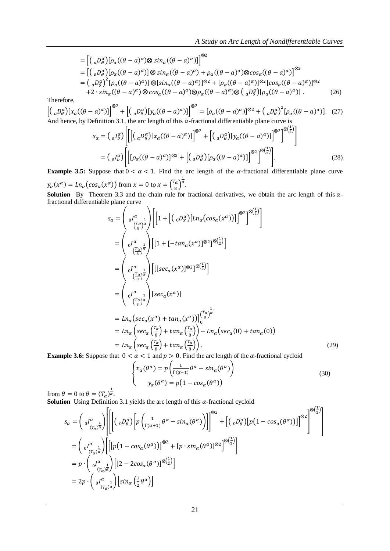$$
= \left[ \left( \, _aD_\theta^\alpha \right) [\rho_\alpha((\theta - a)^\alpha) \otimes \sin_\alpha((\theta - a)^\alpha)] \right]^\otimes
$$
  
\n
$$
= \left[ \left( \, _aD_\theta^\alpha \right) [\rho_\alpha((\theta - a)^\alpha)] \otimes \sin_\alpha((\theta - a)^\alpha) + \rho_\alpha((\theta - a)^\alpha) \otimes \cos_\alpha((\theta - a)^\alpha) \right]^\otimes
$$
  
\n
$$
= \left( \, _aD_\theta^\alpha \right)^2 [\rho_\alpha((\theta - a)^\alpha)] \otimes [\sin_\alpha((\theta - a)^\alpha)]^{\otimes 2} + [\rho_\alpha((\theta - a)^\alpha)]^{\otimes 2} [\cos_\alpha((\theta - a)^\alpha)]^{\otimes 2}
$$
  
\n
$$
+ 2 \cdot \sin_\alpha((\theta - a)^\alpha) \otimes \cos_\alpha((\theta - a)^\alpha) \otimes \rho_\alpha((\theta - a)^\alpha) \otimes \left( \, _aD_\theta^\alpha \right) [\rho_\alpha((\theta - a)^\alpha)] . \tag{26}
$$

Therefore,

 $\left[ \left( \ _aD_\theta^\alpha\right) \left[ x_\alpha((\theta-a)^\alpha)\right] \right]^{\otimes 2} + \left[ \left( \ _aD_\theta^\alpha\right) \left[ y_\alpha((\theta-a)^\alpha)\right] \right]^{\otimes 2} = \left[ \rho_\alpha((\theta-a)^\alpha)\right]^{\otimes 2} + \left( \ _aD_\theta^\alpha\right)^2 \left[ \rho_\alpha((\theta-a)^\alpha)\right].$  (27) And hence, by Definition 3.1, the arc length of this  $\alpha$ -fractional differentiable plane curve is

$$
s_{\alpha} = \begin{pmatrix} a^{i\alpha} \ b^{i\alpha} \end{pmatrix} \left[ \left[ \left[ \left( a^{j\alpha} \right) [x_{\alpha}((\theta - a)^{\alpha})] \right]^{i\beta} + \left[ \left( a^{j\alpha} \right) [y_{\alpha}((\theta - a)^{\alpha})] \right]^{i\beta} \right]^{i\beta} \right]^{i\beta} \right]
$$
  

$$
= \begin{pmatrix} a^{i\alpha} \ b^{i\alpha} \end{pmatrix} \left[ \left[ \left[ \rho_{\alpha}((\theta - a)^{\alpha}) \right]^{i\beta} + \left[ \left( a^{j\alpha} \right) [p_{\alpha}((\theta - a)^{\alpha})] \right]^{i\beta} \right]^{i\beta} \right].
$$
 (28)

**Example 3.5:** Suppose that  $0 < \alpha < 1$ . Find the arc length of the  $\alpha$ -fractional differentiable plane curve  $y_{\alpha}(x^{\alpha}) = Ln_{\alpha}(cos_{\alpha}(x^{\alpha}))$  from  $x = 0$  to  $x = \left(\frac{T_{\alpha}}{s}\right)$  $\frac{a}{8}$  $\frac{1}{\alpha}$ .

**Solution** By Theorem 3.3 and the chain rule for fractional derivatives, we obtain the arc length of this  $\alpha$ fractional differentiable plane curve

$$
s_{\alpha} = \left(\begin{array}{c} \frac{1}{\left(\frac{T_{\alpha}}{8}\right)^{\frac{1}{\alpha}}}\right) \left[\left[1 + \left[\left(\begin{array}{c} 0 & D_{x}^{\alpha}\end{array}\right] \left[ln_{\alpha}\left(\cos_{\alpha}(x^{\alpha})\right)\right]\right]^{\otimes 2}\right]^{\otimes \left(\frac{1}{2}\right)}\right] = \left(\begin{array}{c} \frac{1}{\left(\frac{T_{\alpha}}{8}\right)^{\frac{1}{\alpha}}}\right) \left[\left[1 + \left[-\tan_{\alpha}(x^{\alpha})\right]^{\otimes 2}\right]^{\otimes \left(\frac{1}{2}\right)}\right] = \left(\begin{array}{c} \frac{1}{\left(\frac{T_{\alpha}}{8}\right)^{\frac{1}{\alpha}}}\right) \left[\left[\left[\sec_{\alpha}(x^{\alpha})\right]^{\otimes 2}\right]^{\otimes \left(\frac{1}{2}\right)}\right] = \left(\begin{array}{c} \frac{1}{\left(\frac{T_{\alpha}}{8}\right)^{\frac{1}{\alpha}}}\right) \left[\sec_{\alpha}(x^{\alpha})\right] = ln_{\alpha}\left(\sec_{\alpha}(x^{\alpha}) + tan_{\alpha}(x^{\alpha})\right] \left(\frac{T_{\alpha}}{8}\right)^{\frac{1}{\alpha}} = ln_{\alpha}\left(\sec_{\alpha}\left(\frac{T_{\alpha}}{8}\right) + tan_{\alpha}\left(\frac{T_{\alpha}}{8}\right)\right) - Ln_{\alpha}\left(\sec_{\alpha}(0) + tan_{\alpha}(0)\right) \end{array}\right) = ln_{\alpha}\left(\sec_{\alpha}\left(\frac{T_{\alpha}}{8}\right) + tan_{\alpha}\left(\frac{T_{\alpha}}{8}\right)\right).
$$
(29)

**Example 3.6:** Suppose that  $0 < \alpha < 1$  and  $p > 0$ . Find the arc length of the  $\alpha$ -fractional cycloid

$$
\begin{cases}\n x_{\alpha}(\theta^{\alpha}) = p\left(\frac{1}{\Gamma(\alpha+1)}\theta^{\alpha} - \sin_{\alpha}(\theta^{\alpha})\right) \\
 y_{\alpha}(\theta^{\alpha}) = p\left(1 - \cos_{\alpha}(\theta^{\alpha})\right)\n\end{cases} \tag{30}
$$

from  $\theta = 0$  to  $\theta = (T_{\alpha})^{\frac{1}{\alpha}}$ .

**Solution** Using Definition 3.1 yields the arc length of this  $\alpha$ -fractional cycloid  $\Gamma$ 

$$
s_{\alpha} = \left( \begin{array}{c} 0^{I^{\alpha}} \\ 0^{I^{\alpha}} \\ \end{array} \right) \left[ \left[ \left[ \left( \begin{array}{c} 0^{I^{\alpha}} \\ 0^{I^{\alpha}} \\ \end{array} \right) \left[ p \left( \frac{1}{\Gamma(\alpha+1)} \theta^{\alpha} - \sin_{\alpha}(\theta^{\alpha}) \right) \right] \right]^{\otimes 2} + \left[ \left( \begin{array}{c} 0^{I^{\alpha}} \\ 0^{I^{\alpha}} \\ \end{array} \right) [p \left( 1 - \cos_{\alpha}(\theta^{\alpha}) \right)] \right]^{\otimes 2} \right]^{2} \right]^{2} \right]
$$
  
\n
$$
= \left( \begin{array}{c} 0^{I^{\alpha}} \\ 0^{I^{\alpha}} \\ \end{array} \right) \left[ \left[ \left[ p \left( 1 - \cos_{\alpha}(\theta^{\alpha}) \right) \right]^{\otimes 2} + \left[ p \cdot \sin_{\alpha}(\theta^{\alpha}) \right]^{\otimes 2} \right]^{\otimes \left( \frac{1}{2} \right)} \right]
$$
  
\n
$$
= p \cdot \left( \begin{array}{c} 0^{I^{\alpha}} \\ 0^{I^{\alpha}} \\ \end{array} \right) \left[ \left[ 2 - 2\cos_{\alpha}(\theta^{\alpha}) \right]^{\otimes \left( \frac{1}{2} \right)} \right]
$$
  
\n
$$
= 2p \cdot \left( \begin{array}{c} 0^{I^{\alpha}} \\ 0^{I^{\alpha}} \\ \end{array} \right) \left[ \sin_{\alpha} \left( \frac{1}{2} \theta^{\alpha} \right) \right]
$$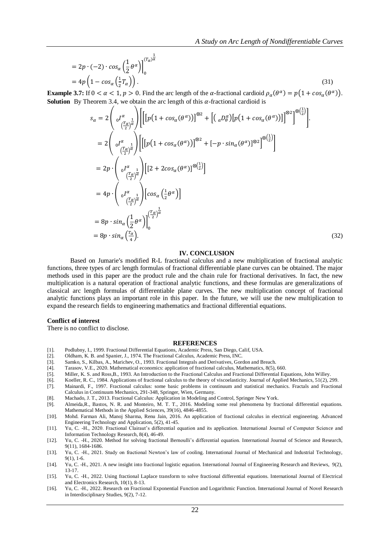$$
= 2p \cdot (-2) \cdot \cos_{\alpha} \left(\frac{1}{2}\theta^{\alpha}\right) \Big|_{0}^{(T_{\alpha})^{\frac{1}{\alpha}}}
$$
  
= 4p\left(1 - \cos\_{\alpha}\left(\frac{1}{2}T\_{\alpha}\right)\right). (31)

**Example 3.7:** If  $0 < \alpha < 1$ ,  $p > 0$ . Find the arc length of the  $\alpha$ -fractional cardioid  $\rho_{\alpha}(\theta^{\alpha}) = p(1 + \cos_{\alpha}(\theta^{\alpha}))$ . **Solution** By Theorem 3.4, we obtain the arc length of this  $\alpha$ -fractional cardioid is

$$
s_{\alpha} = 2 \left( \int_{\frac{r_{\alpha}}{(2\pi)^{\frac{1}{\alpha}}}} \left[ \left[ p(1 + \cos_{\alpha}(\theta^{\alpha})) \right]^{\otimes 2} + \left[ \left( \int_{\alpha} D^{\alpha}_{\theta} \right) [p(1 + \cos_{\alpha}(\theta^{\alpha}))] \right]^{\otimes 2} \right]^{\otimes \left(\frac{1}{2}\right)} \right]
$$
  
\n
$$
= 2 \left( \int_{\frac{r_{\alpha}}{(2\pi)^{\frac{1}{\alpha}}}} \left[ \left[ p(1 + \cos_{\alpha}(\theta^{\alpha})) \right]^{\otimes 2} + \left[ -p \cdot \sin_{\alpha}(\theta^{\alpha}) \right]^{\otimes 2} \right]^{\otimes \left(\frac{1}{2}\right)} \right]
$$
  
\n
$$
= 2p \cdot \left( \int_{\frac{r_{\alpha}}{(2\pi)^{\frac{1}{\alpha}}}} \left[ \left[ 2 + 2\cos_{\alpha}(\theta^{\alpha}) \right]^{\otimes \left(\frac{1}{2}\right)} \right]
$$
  
\n
$$
= 4p \cdot \left( \int_{\frac{r_{\alpha}}{(2\pi)^{\frac{1}{\alpha}}}} \left[ \cos_{\alpha}\left(\frac{1}{2}\theta^{\alpha}\right) \right] \right]
$$
  
\n
$$
= 8p \cdot \sin_{\alpha}\left(\frac{1}{2}\theta^{\alpha}\right) \Big|_{0}^{\left(\frac{r_{\alpha}}{2}\right)^{\frac{1}{\alpha}}}
$$
  
\n
$$
= 8p \cdot \sin_{\alpha}\left(\frac{r_{\alpha}}{4}\right).
$$
  
\n(32)

# **IV. CONCLUSION**

Based on Jumarie′s modified R-L fractional calculus and a new multiplication of fractional analytic functions, three types of arc length formulas of fractional differentiable plane curves can be obtained. The major methods used in this paper are the product rule and the chain rule for fractional derivatives. In fact, the new multiplication is a natural operation of fractional analytic functions, and these formulas are generalizations of classical arc length formulas of differentiable plane curves. The new multiplication concept of fractional analytic functions plays an important role in this paper. In the future, we will use the new multiplication to expand the research fields to engineering mathematics and fractional differential equations.

# **Conflict of interest**

There is no conflict to disclose.

#### **REFERENCES**

- [1]. Podlubny, I., 1999. Fractional Differential Equations, Academic Press, San Diego, Calif, USA. [2]. Oldham, K. B. and Spanier, J., 1974. The Fractional Calculus, Academic Press, INC.
- [2]. Oldham, K. B. and Spanier, J., 1974. The Fractional Calculus, Academic Press, INC.
- Samko, S., Kilbas, A., Marichev, O., 1993. Fractional Integrals and Derivatives, Gordon and Breach.
- [4]. Tarasov, V.E., 2020. Mathematical economics: application of fractional calculus, Mathematics, 8(5), 660.
- [5]. Miller, K. S. and Ross,B., 1993. An Introduction to the Fractional Calculus and Fractional Differential Equations, John Willey.
- [6]. Koeller, R. C., 1984. Applications of fractional calculus to the theory of viscoelasticity. Journal of Applied Mechanics, 51(2), 299.
- [7]. Mainardi, F., 1997. Fractional calculus: some basic problems in continuum and statistical mechanics. Fractals and Fractional Calculus in Continuum Mechanics, 291-348, Springer, Wien, Germany.
- 
- [8]. Machado, J. T., 2013. Fractional Calculus: Application in Modeling and Control, Springer New York. [9]. Almeida, R., Bastos, N. R. and Monteiro, M. T. T., 2016. Modeling some real phenomena by fra Almeida,R., Bastos, N. R. and Monteiro, M. T. T., 2016. Modeling some real phenomena by fractional differential equations. Mathematical Methods in the Applied Sciences, 39(16), 4846-4855.
- [10]. Mohd. Farman Ali, Manoj Sharma, Renu Jain, 2016. An application of fractional calculus in electrical engineering. Advanced Engineering Technology and Application, 5(2), 41-45.
- [11]. Yu, C. -H., 2020. Fractional Clairaut's differential equation and its application. International Journal of Computer Science and Information Technology Research, 8(4), 46-49.
- [12]. Yu, C. -H., 2020. Method for solving fractional Bernoulli's differential equation. International Journal of Science and Research, 9(11), 1684-1686.
- [13]. Yu, C. -H., 2021. Study on fractional Newton's law of cooling. International Journal of Mechanical and Industrial Technology, 9(1), 1-6.
- [14]. Yu, C. -H., 2021. A new insight into fractional logistic equation. International Journal of Engineering Research and Reviews, 9(2), 13-17.
- [15]. Yu, C. -H., 2022. Using fractional Laplace transform to solve fractional differential equations. International Journal of Electrical and Electronics Research, 10(1), 8-13.
- [16]. Yu, C. -H., 2022. Research on Fractional Exponential Function and Logarithmic Function. International Journal of Novel Research in Interdisciplinary Studies, 9(2), 7-12.